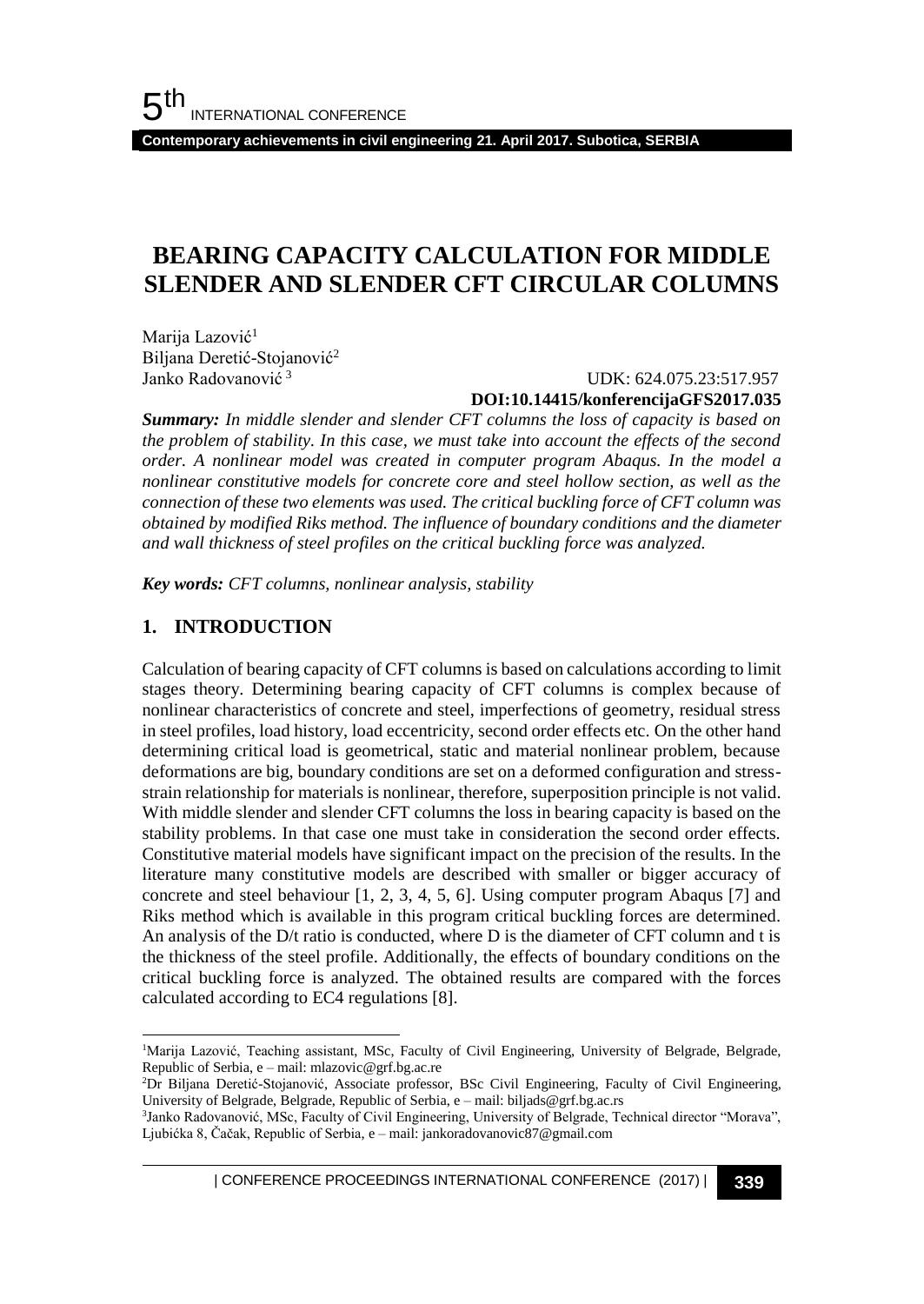**Contemporary achievements in civil engineering 21. April 2017. Subotica, SERBIA**

# **BEARING CAPACITY CALCULATION FOR MIDDLE SLENDER AND SLENDER CFT CIRCULAR COLUMNS**

Marija Lazović<sup>1</sup> Biljana Deretić-Stojanović<sup>2</sup> Janko Radovanović <sup>3</sup>

#### UDK: 624.075.23:517.957 **DOI:10.14415/konferencijaGFS2017.035**

*Summary: In middle slender and slender CFT columns the loss of capacity is based on the problem of stability. In this case, we must take into account the effects of the second order. A nonlinear model was created in computer program Abaqus. In the model a nonlinear constitutive models for concrete core and steel hollow section, as well as the connection of these two elements was used. The critical buckling force of CFT column was obtained by modified Riks method. The influence of boundary conditions and the diameter and wall thickness of steel profiles on the critical buckling force was analyzed.*

*Key words: CFT columns, nonlinear analysis, stability*

## **1. INTRODUCTION**

l

Calculation of bearing capacity of CFT columns is based on calculations according to limit stages theory. Determining bearing capacity of CFT columns is complex because of nonlinear characteristics of concrete and steel, imperfections of geometry, residual stress in steel profiles, load history, load eccentricity, second order effects etc. On the other hand determining critical load is geometrical, static and material nonlinear problem, because deformations are big, boundary conditions are set on a deformed configuration and stressstrain relationship for materials is nonlinear, therefore, superposition principle is not valid. With middle slender and slender CFT columns the loss in bearing capacity is based on the stability problems. In that case one must take in consideration the second order effects. Constitutive material models have significant impact on the precision of the results. In the literature many constitutive models are described with smaller or bigger accuracy of concrete and steel behaviour [1, 2, 3, 4, 5, 6]. Using computer program Abaqus [7] and Riks method which is available in this program critical buckling forces are determined. An analysis of the D/t ratio is conducted, where D is the diameter of CFT column and t is the thickness of the steel profile. Additionally, the effects of boundary conditions on the critical buckling force is analyzed. The obtained results are compared with the forces calculated according to EC4 regulations [8].

| CONFERENCE PROCEEDINGS INTERNATIONAL CONFERENCE (2017) <sup>|</sup>**339**

<sup>&</sup>lt;sup>1</sup>Marija Lazović, Teaching assistant, MSc, Faculty of Civil Engineering, University of Belgrade, Belgrade, Republic of Serbia, e – mail: mlazovic@grf.bg.ac.re

<sup>&</sup>lt;sup>2</sup>Dr Biljana Deretić-Stojanović, Associate professor, BSc Civil Engineering, Faculty of Civil Engineering, University of Belgrade, Belgrade, Republic of Serbia, e – mail: biljads@grf.bg.ac.rs

<sup>&</sup>lt;sup>3</sup>Janko Radovanović, MSc, Faculty of Civil Engineering, University of Belgrade, Technical director "Morava", Ljubićka 8, Čačak, Republic of Serbia, e – mail: jankoradovanovic87@gmail.com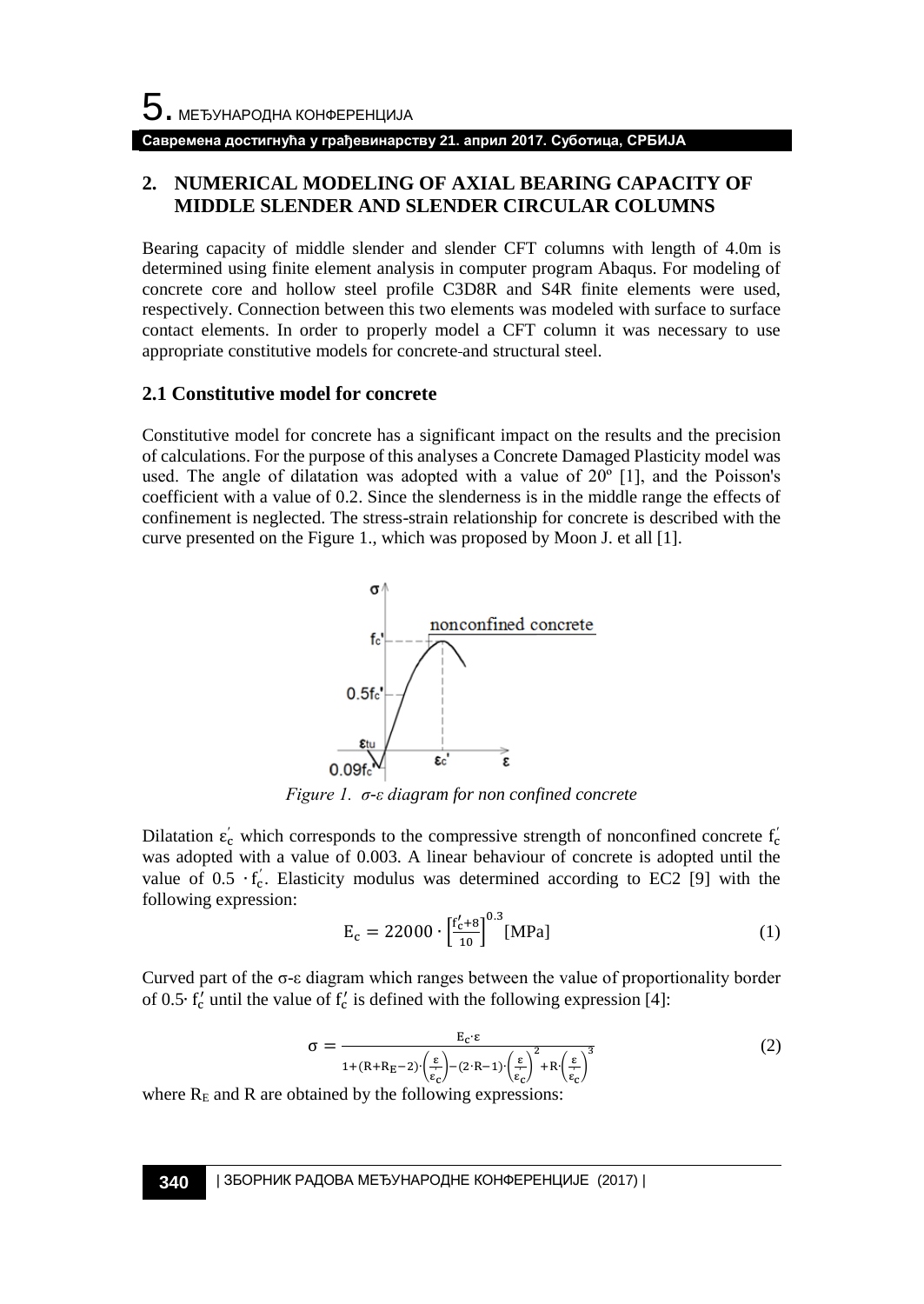# **Савремена достигнућа у грађевинарству 21. април 2017. Суботица, СРБИЈА**

# **2. NUMERICAL MODELING OF AXIAL BEARING CAPACITY OF MIDDLE SLENDER AND SLENDER CIRCULAR COLUMNS**

Bearing capacity of middle slender and slender CFT columns with length of 4.0m is determined using finite element analysis in computer program Abaqus. For modeling of concrete core and hollow steel profile C3D8R and S4R finite elements were used, respectively. Connection between this two elements was modeled with surface to surface contact elements. In order to properly model a CFT column it was necessary to use appropriate constitutive models for concrete and structural steel.

## **2.1 Constitutive model for concrete**

Constitutive model for concrete has a significant impact on the results and the precision of calculations. For the purpose of this analyses a Concrete Damaged Plasticity model was used. The angle of dilatation was adopted with a value of  $20^{\circ}$  [1], and the Poisson's coefficient with a value of 0.2. Since the slenderness is in the middle range the effects of confinement is neglected. The stress-strain relationship for concrete is described with the curve presented on the Figure 1., which was proposed by Moon J. et all [1].



*Figure 1. σ-ε diagram for non confined concrete* 

Dilatation  $\varepsilon_c'$  which corresponds to the compressive strength of nonconfined concrete  $f_c'$ was adopted with a value of 0.003. A linear behaviour of concrete is adopted until the value of  $0.5 \cdot f_c'$ . Elasticity modulus was determined according to EC2 [9] with the following expression:

$$
E_c = 22000 \cdot \left[\frac{f'_c + 8}{10}\right]^{0.3} [MPa]
$$
 (1)

Curved part of the  $\sigma$ -ε diagram which ranges between the value of proportionality border of 0.5⋅ f' until the value of  $f'_c$  is defined with the following expression [4]:

$$
\sigma = \frac{E_c \epsilon}{1 + (R + R_E - 2) \left(\frac{\epsilon}{\epsilon_c}\right) - (2 \cdot R - 1) \left(\frac{\epsilon}{\epsilon_c}\right)^2 + R \left(\frac{\epsilon}{\epsilon_c}\right)^3}
$$
(2)

where  $R<sub>E</sub>$  and R are obtained by the following expressions: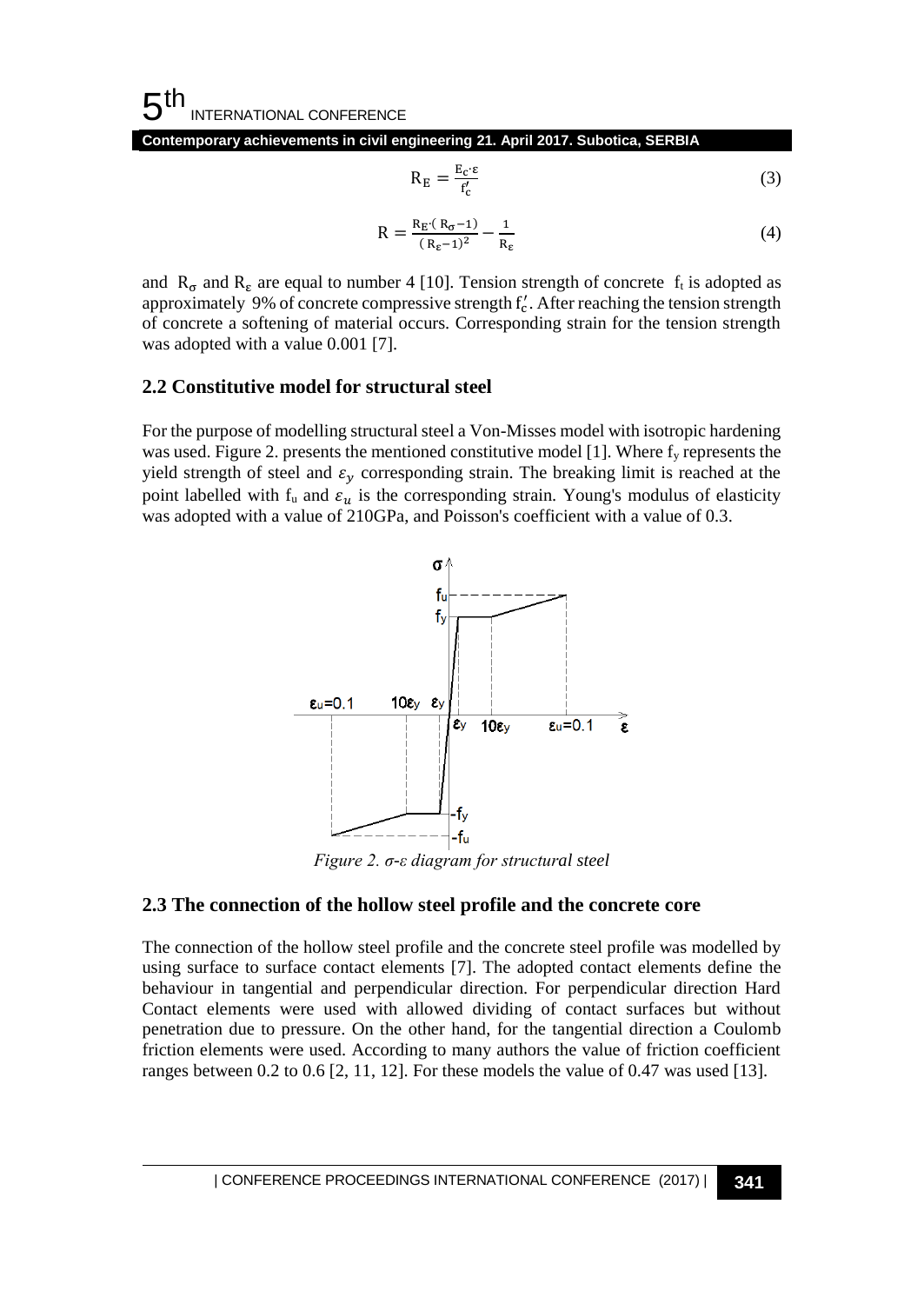#### 5 th INTERNATIONAL CONFERENCE

**Contemporary achievements in civil engineering 21. April 2017. Subotica, SERBIA**

$$
R_E = \frac{E_c \cdot \varepsilon}{f_c'} \tag{3}
$$

$$
R = \frac{R_E (R_{\sigma} - 1)}{(R_{\epsilon} - 1)^2} - \frac{1}{R_{\epsilon}}
$$
\n
$$
\tag{4}
$$

and R<sub>σ</sub> and R<sub>ε</sub> are equal to number 4 [10]. Tension strength of concrete f<sub>t</sub> is adopted as approximately 9% of concrete compressive strength  $f_c'$ . After reaching the tension strength of concrete a softening of material occurs. Corresponding strain for the tension strength was adopted with a value 0.001 [7].

## **2.2 Constitutive model for structural steel**

For the purpose of modelling structural steel a Von-Misses model with isotropic hardening was used. Figure 2. presents the mentioned constitutive model [1]. Where  $f_y$  represents the yield strength of steel and  $\varepsilon_y$  corresponding strain. The breaking limit is reached at the point labelled with  $f_u$  and  $\varepsilon_u$  is the corresponding strain. Young's modulus of elasticity was adopted with a value of 210GPa, and Poisson's coefficient with a value of 0.3.



*Figure 2. σ-ε diagram for structural steel* 

# **2.3 The connection of the hollow steel profile and the concrete core**

The connection of the hollow steel profile and the concrete steel profile was modelled by using surface to surface contact elements [7]. The adopted contact elements define the behaviour in tangential and perpendicular direction. For perpendicular direction Hard Contact elements were used with allowed dividing of contact surfaces but without penetration due to pressure. On the other hand, for the tangential direction a Coulomb friction elements were used. According to many authors the value of friction coefficient ranges between 0.2 to 0.6 [2, 11, 12]. For these models the value of 0.47 was used [13].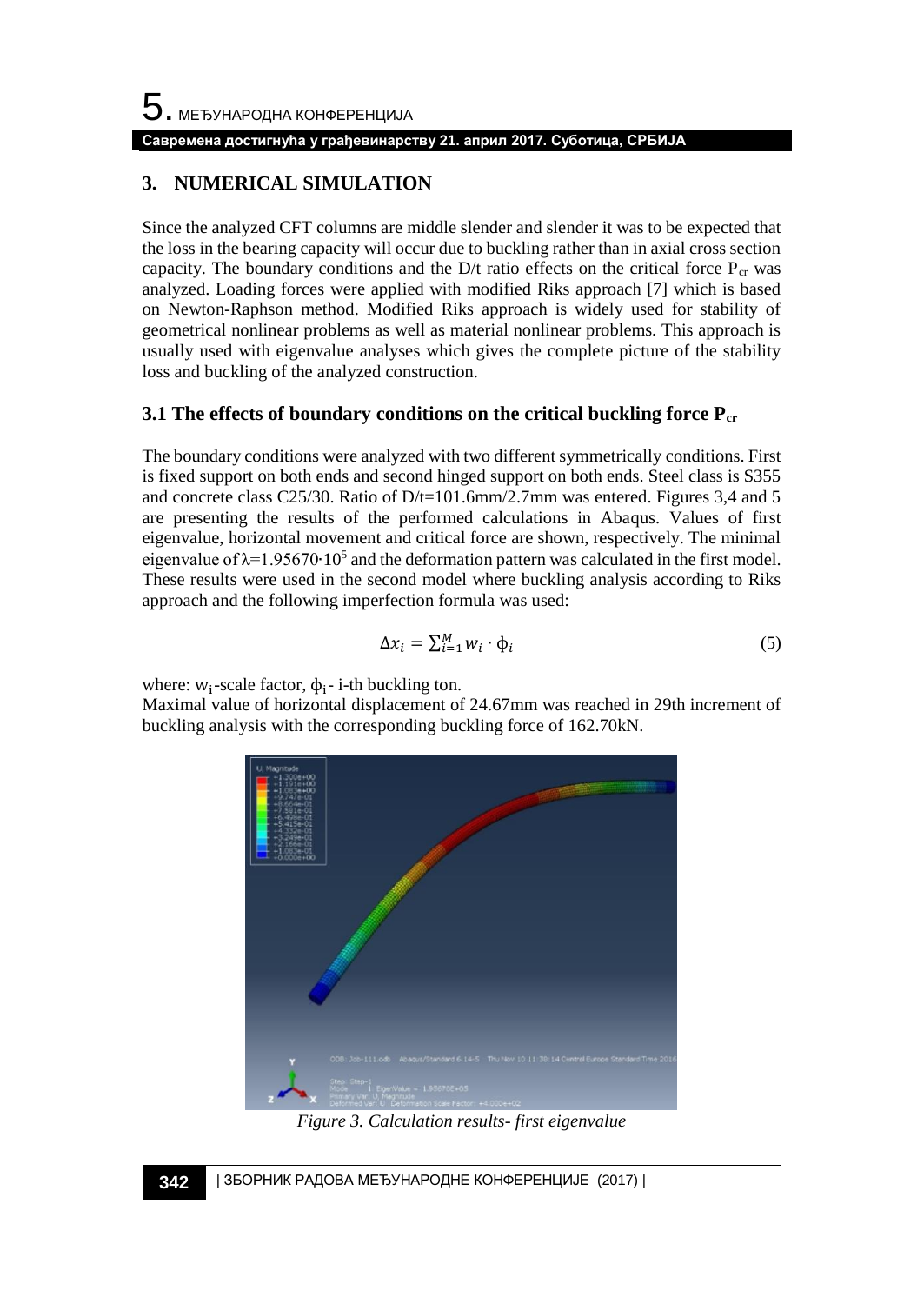#### **Савремена достигнућа у грађевинарству 21. април 2017. Суботица, СРБИЈА**

# **3. NUMERICAL SIMULATION**

Since the analyzed CFT columns are middle slender and slender it was to be expected that the loss in the bearing capacity will occur due to buckling rather than in axial cross section capacity. The boundary conditions and the D/t ratio effects on the critical force  $P_{cr}$  was analyzed. Loading forces were applied with modified Riks approach [7] which is based on Newton-Raphson method. Modified Riks approach is widely used for stability of geometrical nonlinear problems as well as material nonlinear problems. This approach is usually used with eigenvalue analyses which gives the complete picture of the stability loss and buckling of the analyzed construction.

# **3.1 The effects of boundary conditions on the critical buckling force Pcr**

The boundary conditions were analyzed with two different symmetrically conditions. First is fixed support on both ends and second hinged support on both ends. Steel class is S355 and concrete class C25/30. Ratio of D/t=101.6mm/2.7mm was entered. Figures 3,4 and 5 are presenting the results of the performed calculations in Abaqus. Values of first eigenvalue, horizontal movement and critical force are shown, respectively. The minimal eigenvalue of  $\lambda$ =1.95670⋅10<sup>5</sup> and the deformation pattern was calculated in the first model. These results were used in the second model where buckling analysis according to Riks approach and the following imperfection formula was used:

$$
\Delta x_i = \sum_{i=1}^{M} w_i \cdot \phi_i \tag{5}
$$

where:  $w_i$ -scale factor,  $\phi_i$ - i-th buckling ton.

Maximal value of horizontal displacement of 24.67mm was reached in 29th increment of buckling analysis with the corresponding buckling force of 162.70kN.



*Figure 3. Calculation results- first eigenvalue*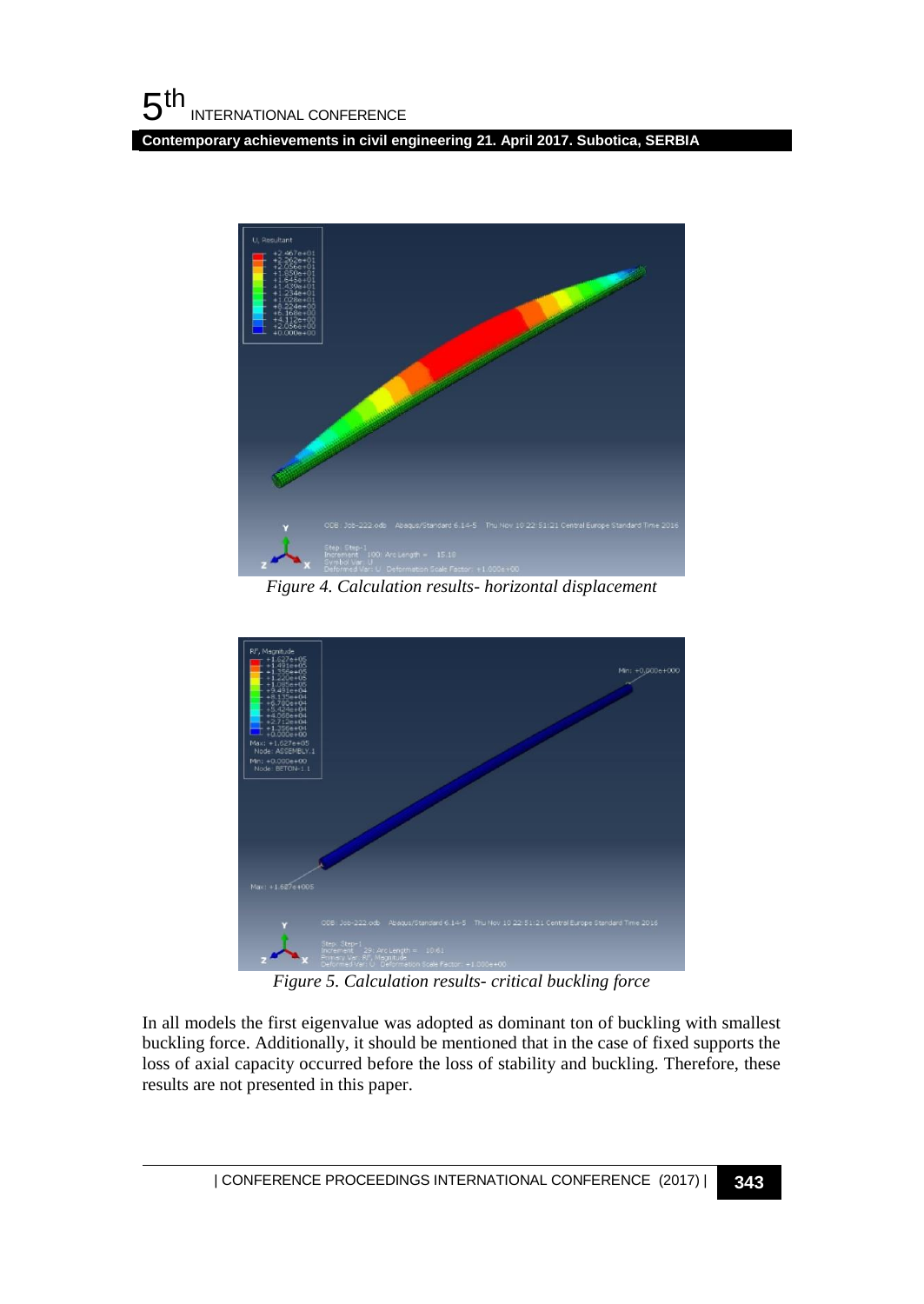**Contemporary achievements in civil engineering 21. April 2017. Subotica, SERBIA**



*Figure 4. Calculation results- horizontal displacement*



*Figure 5. Calculation results- critical buckling force*

In all models the first eigenvalue was adopted as dominant ton of buckling with smallest buckling force. Additionally, it should be mentioned that in the case of fixed supports the loss of axial capacity occurred before the loss of stability and buckling. Therefore, these results are not presented in this paper.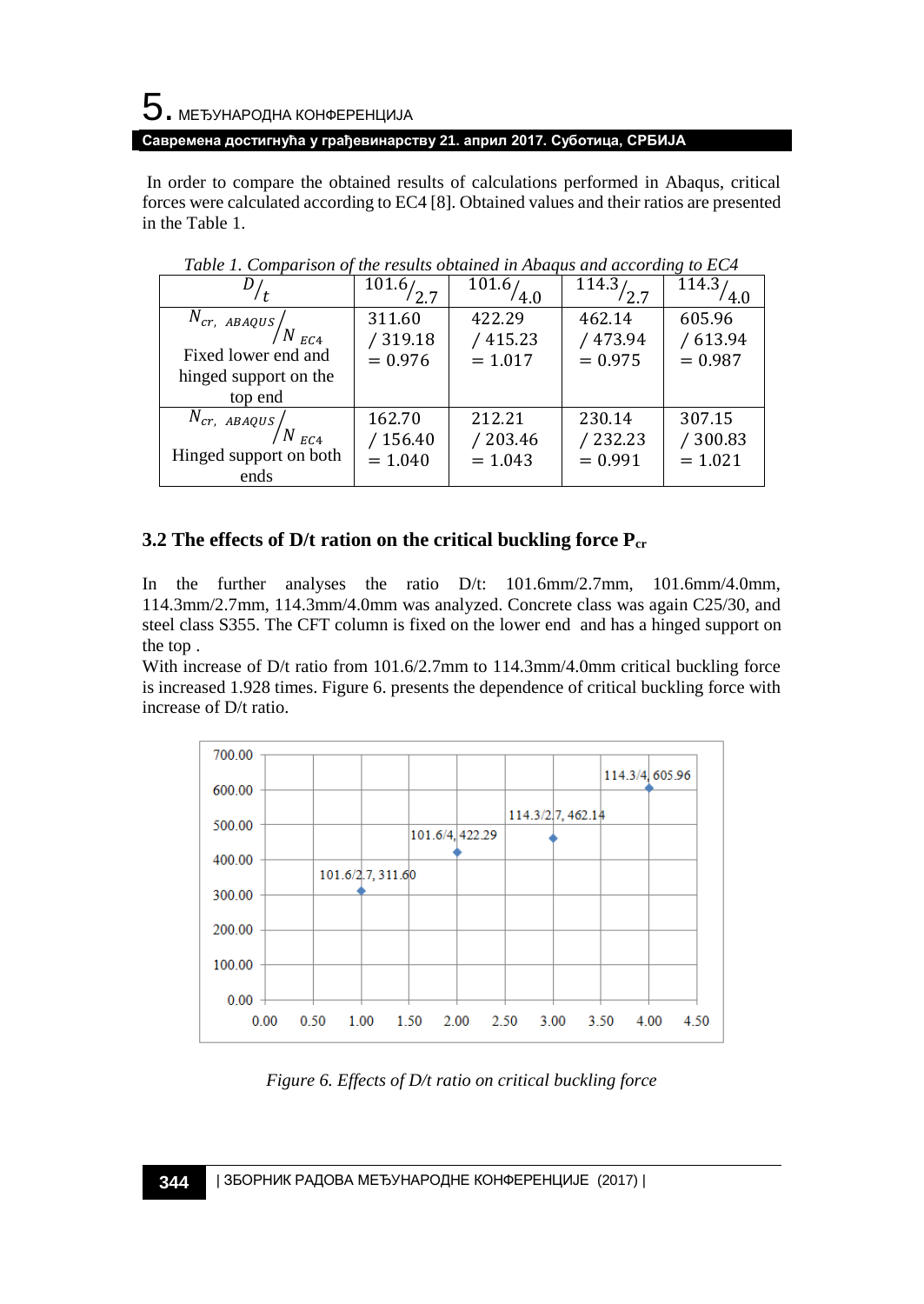# 5. МЕЂУНАРОДНА КОНФЕРЕНЦИЈА

**Савремена достигнућа у грађевинарству 21. април 2017. Суботица, СРБИЈА**

In order to compare the obtained results of calculations performed in Abaqus, critical forces were calculated according to EC4 [8]. Obtained values and their ratios are presented in the Table 1.

|                                                                                                       | 101.6/2.7                      | 101.6/                         | $\overline{114.3}/2.7$          | 114.3/<br>4.0                  |
|-------------------------------------------------------------------------------------------------------|--------------------------------|--------------------------------|---------------------------------|--------------------------------|
| $\overline{N}_{cr,ABAQUS}\Bigg/_{N_{EC4}}$<br>Fixed lower end and<br>hinged support on the<br>top end | 311.60<br>/319.18<br>$= 0.976$ | 422.29<br>/415.23<br>$= 1.017$ | 462.14<br>/ 473.94<br>$= 0.975$ | 605.96<br>/613.94<br>$= 0.987$ |
| $N_{cr, ABAQUS}$ $N_{EC4}$<br>Hinged support on both<br>ends                                          | 162.70<br>/156.40<br>$= 1.040$ | 212.21<br>/203.46<br>$= 1.043$ | 230.14<br>/232.23<br>$= 0.991$  | 307.15<br>/300.83<br>$= 1.021$ |

*Table 1. Comparison of the results obtained in Abaqus and according to EC4*

# **3.2 The effects of D/t ration on the critical buckling force Pcr**

In the further analyses the ratio D/t: 101.6mm/2.7mm, 101.6mm/4.0mm, 114.3mm/2.7mm, 114.3mm/4.0mm was analyzed. Concrete class was again C25/30, and steel class S355. The CFT column is fixed on the lower end and has a hinged support on the top .

With increase of D/t ratio from 101.6/2.7mm to 114.3mm/4.0mm critical buckling force is increased 1.928 times. Figure 6. presents the dependence of critical buckling force with increase of D/t ratio.



*Figure 6. Effects of D/t ratio on critical buckling force*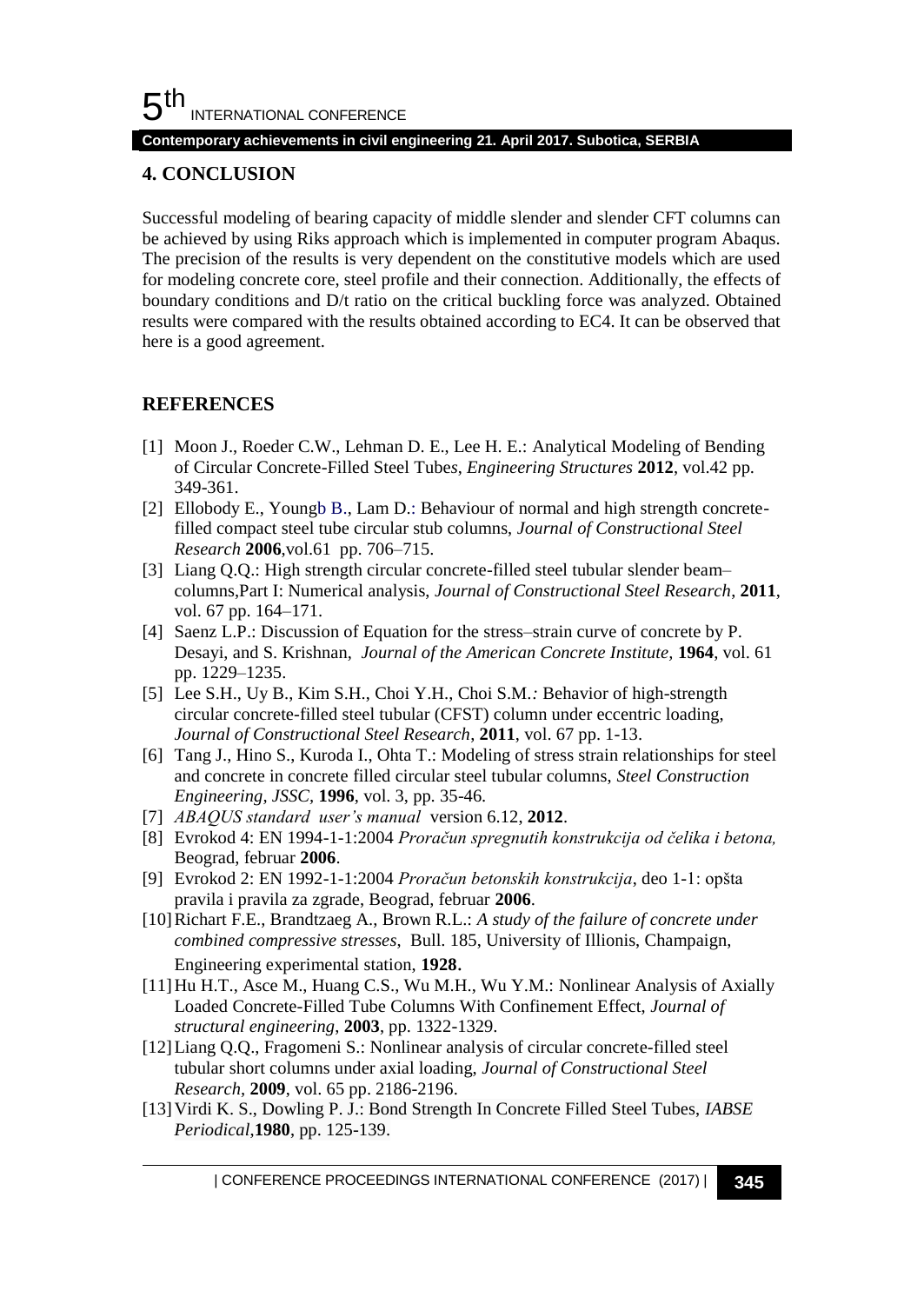#### **Contemporary achievements in civil engineering 21. April 2017. Subotica, SERBIA**

# **4. CONCLUSION**

Successful modeling of bearing capacity of middle slender and slender CFT columns can be achieved by using Riks approach which is implemented in computer program Abaqus. The precision of the results is very dependent on the constitutive models which are used for modeling concrete core, steel profile and their connection. Additionally, the effects of boundary conditions and D/t ratio on the critical buckling force was analyzed. Obtained results were compared with the results obtained according to EC4. It can be observed that here is a good agreement.

# **REFERENCES**

- [1] Moon J., Roeder C.W., Lehman D. E., Lee H. E.: Analytical Modeling of Bending of Circular Concrete-Filled Steel Tube*s*, *Engineering Structures* **2012**, vol.42 pp. 349-361.
- [2] Ellobody E., Youngb B., Lam D.: Behaviour of normal and high strength concretefilled compact steel tube circular stub columns, *Journal of Constructional Steel Research* **2006**,vol.61 pp. 706–715.
- [3] Liang Q.Q.: High strength circular concrete-filled steel tubular slender beam– columns,Part I: Numerical analysis, *Journal of Constructional Steel Research*, **2011**, vol. 67 pp. 164–171.
- [4] Saenz L.P.: Discussion of Equation for the stress–strain curve of concrete by P. Desayi, and S. Krishnan, *Journal of the American Concrete Institute,* **1964**, vol. 61 pp. 1229–1235.
- [5] Lee S.H., Uy B., Kim S.H., Choi Y.H., Choi S.M.*:* Behavior of high-strength circular concrete-filled steel tubular (CFST) column under eccentric loading, *Journal of Constructional Steel Research*, **2011**, vol. 67 pp. 1-13.
- [6] Tang J., Hino S., Kuroda I., Ohta T.: Modeling of stress strain relationships for steel and concrete in concrete filled circular steel tubular columns, *Steel Construction Engineering, JSSC,* **1996**, vol. 3, pp. 35-46.
- [7] *ABAQUS standard user's manual* version 6.12, **2012**.
- [8] Evrokod 4: EN 1994-1-1:2004 *Proračun spregnutih konstrukcija od čelika i betona,* Beograd, februar **2006**.
- [9] Evrokod 2: EN 1992-1-1:2004 *Proračun betonskih konstrukcija*, deo 1-1: opšta pravila i pravila za zgrade, Beograd, februar **2006**.
- [10]Richart F.E., Brandtzaeg A., Brown R.L.: *A study of the failure of concrete under combined compressive stresses*, Bull. 185, University of Illionis, Champaign, Engineering experimental station, **1928**.
- [11]Hu H.T., Asce M., Huang C.S., Wu M.H., Wu Y.M.: Nonlinear Analysis of Axially Loaded Concrete-Filled Tube Columns With Confinement Effect, *Journal of structural engineering*, **2003**, pp. 1322-1329.
- [12]Liang Q.Q., Fragomeni S.: Nonlinear analysis of circular concrete-filled steel tubular short columns under axial loading, *Journal of Constructional Steel Research,* **2009**, vol. 65 pp. 2186-2196.
- [13]Virdi K. S., Dowling P. J.: Bond Strength In Concrete Filled Steel Tubes, *IABSE Periodical*,**1980**, pp. 125-139.